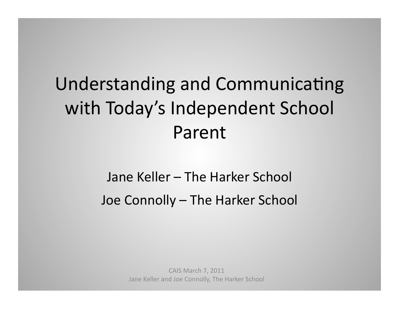# Understanding and Communicating with Today's Independent School Parent+

# Jane Keller – The Harker School Joe Connolly – The Harker School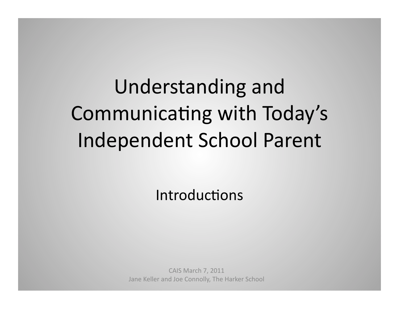# Understanding and Communicating with Today's Independent School Parent

Introductions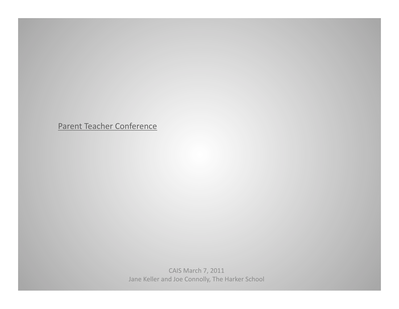Parent Teacher Conference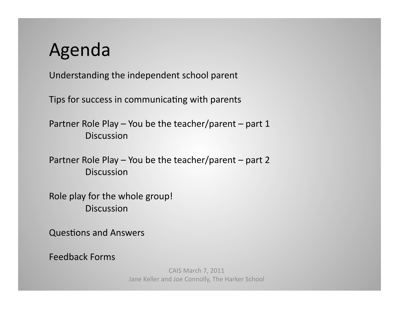# Agenda+

Understanding the independent school parent

Tips for success in communicating with parents

Partner Role Play – You be the teacher/parent – part 1 Discussion+

Partner Role Play – You be the teacher/parent – part 2 Discussion+

Role play for the whole group! Discussion+

Questions and Answers

Feedback Forms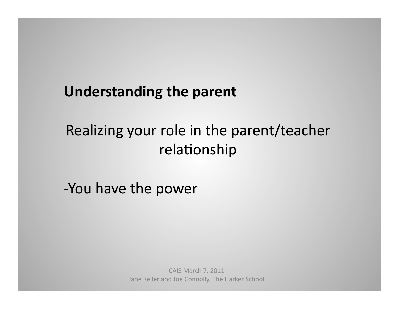# Realizing your role in the parent/teacher relationship

-You have the power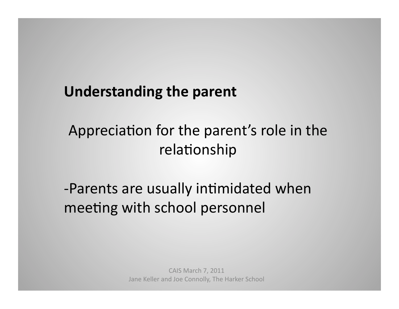# Appreciation for the parent's role in the relationship

-Parents are usually intimidated when meeting with school personnel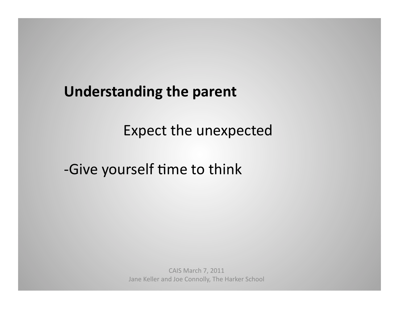Expect the unexpected

-Give yourself time to think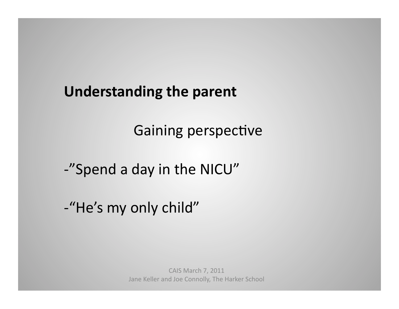Gaining perspective

-"Spend a day in the NICU"

-"He's my only child"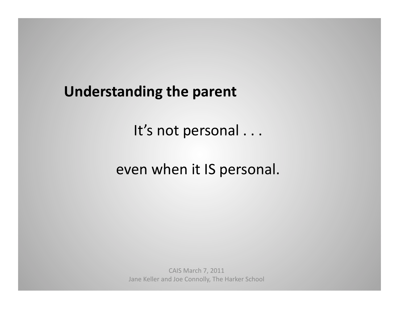It's not personal . . .

even when it IS personal.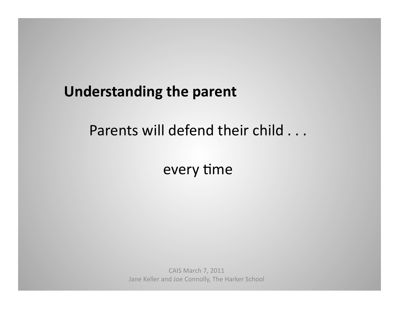# Parents will defend their child . . .

every time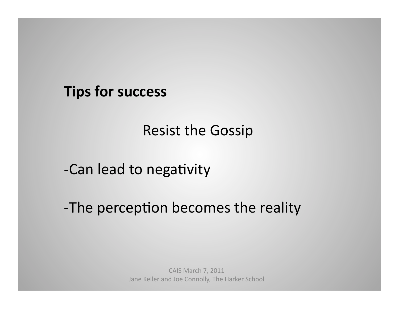Resist the Gossip

-Can lead to negativity

-The perception becomes the reality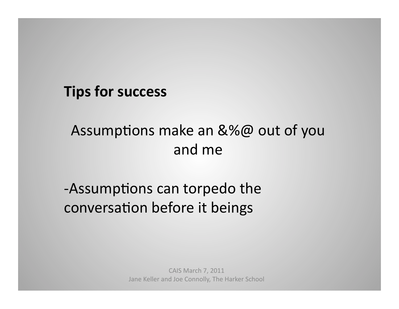# Assumptions make an  $&\%@$  out of you and me

# -Assumptions can torpedo the conversation before it beings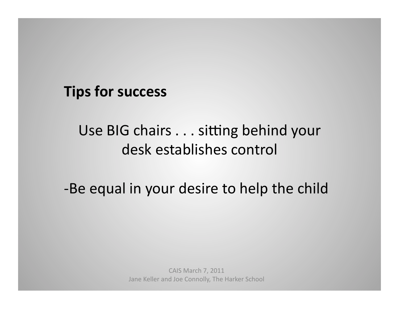# Use BIG chairs . . . sitting behind your desk establishes control

-Be equal in your desire to help the child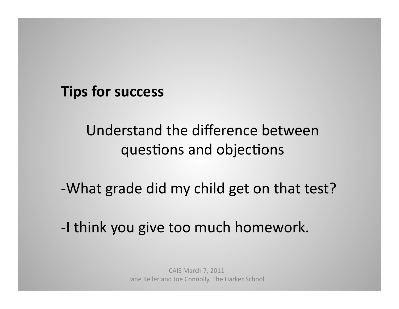# Understand the difference between questions and objections

-What grade did my child get on that test?

-I think you give too much homework.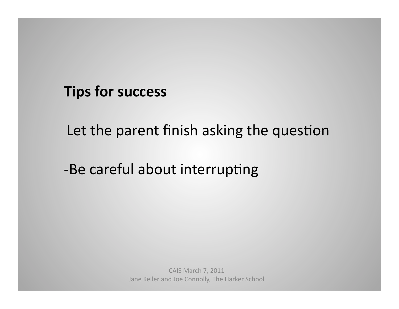Let the parent finish asking the question

-Be careful about interrupting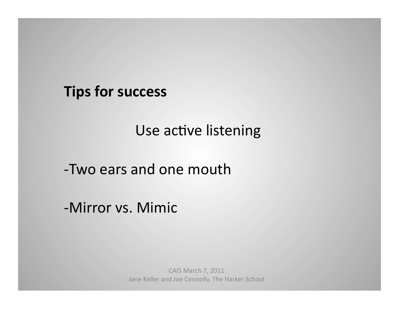Use active listening

-Two ears and one mouth

-Mirror vs. Mimic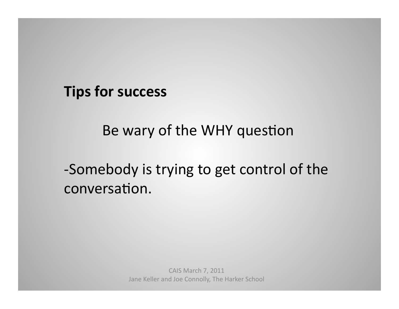Be wary of the WHY question

-Somebody is trying to get control of the conversation.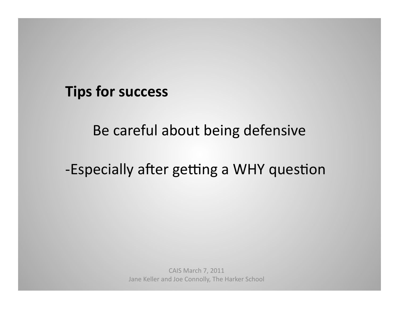Be careful about being defensive

-Especially after getting a WHY question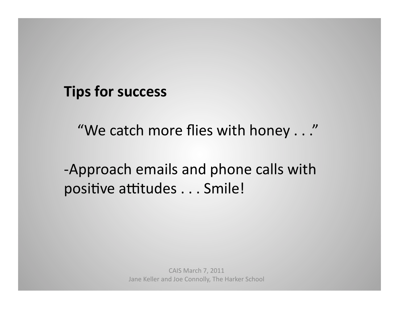"We catch more flies with honey . . ."

-Approach emails and phone calls with positive attitudes . . . Smile!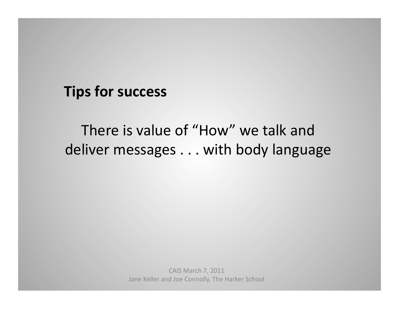# There is value of "How" we talk and deliver messages . . . with body language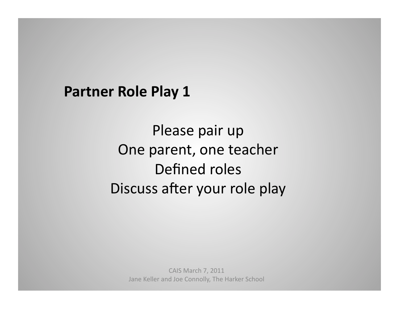Please pair up One parent, one teacher Defined roles Discuss after your role play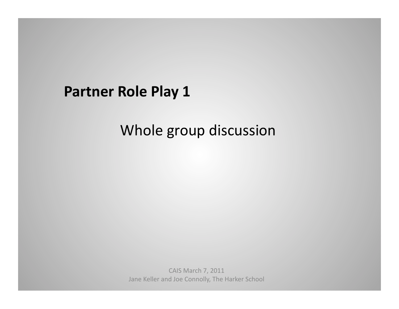# Whole group discussion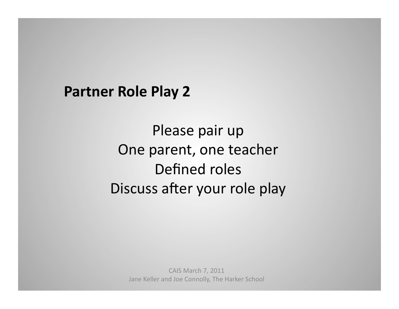Please pair up One parent, one teacher Defined roles Discuss after your role play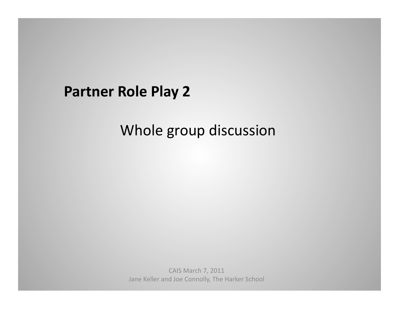# Whole group discussion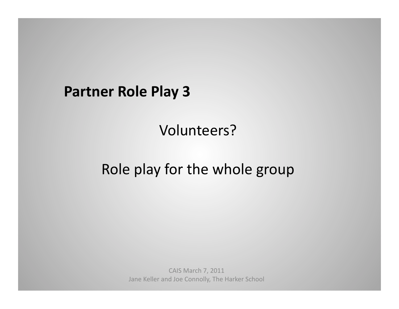## Volunteers?+

# Role play for the whole group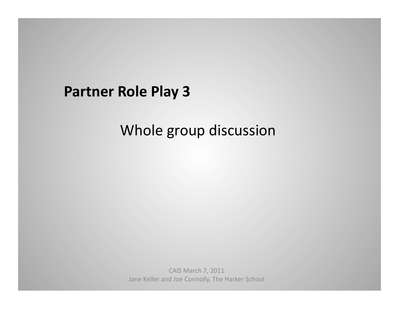# Whole group discussion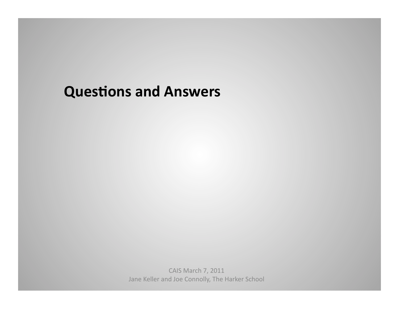#### **Questions and Answers**